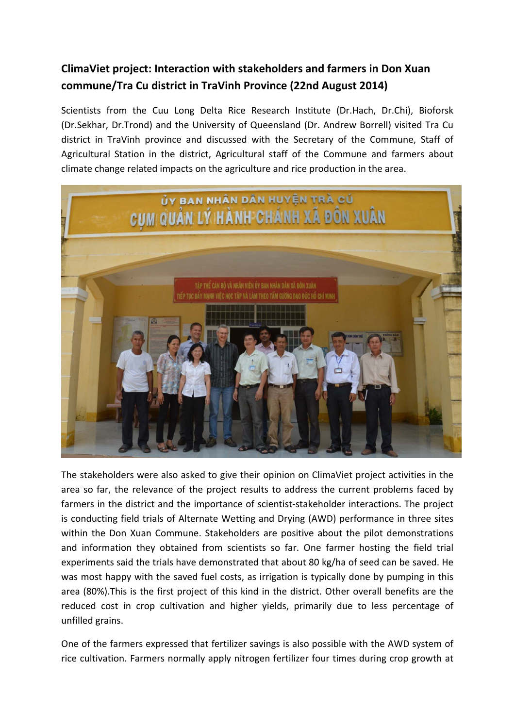## **ClimaViet project: Interaction with stakeholders and farmers in Don Xuan commune/Tra Cu district in TraVinh Province (22nd August 2014)**

Scientists from the Cuu Long Delta Rice Research Institute (Dr.Hach, Dr.Chi), Bioforsk (Dr.Sekhar, Dr.Trond) and the University of Queensland (Dr. Andrew Borrell) visited Tra Cu district in TraVinh province and discussed with the Secretary of the Commune, Staff of Agricultural Station in the district, Agricultural staff of the Commune and farmers about climate change related impacts on the agriculture and rice production in the area.



The stakeholders were also asked to give their opinion on ClimaViet project activities in the area so far, the relevance of the project results to address the current problems faced by farmers in the district and the importance of scientist-stakeholder interactions. The project is conducting field trials of Alternate Wetting and Drying (AWD) performance in three sites within the Don Xuan Commune. Stakeholders are positive about the pilot demonstrations and information they obtained from scientists so far. One farmer hosting the field trial experiments said the trials have demonstrated that about 80 kg/ha of seed can be saved. He was most happy with the saved fuel costs, as irrigation is typically done by pumping in this area (80%).This is the first project of this kind in the district. Other overall benefits are the reduced cost in crop cultivation and higher yields, primarily due to less percentage of unfilled grains.

One of the farmers expressed that fertilizer savings is also possible with the AWD system of rice cultivation. Farmers normally apply nitrogen fertilizer four times during crop growth at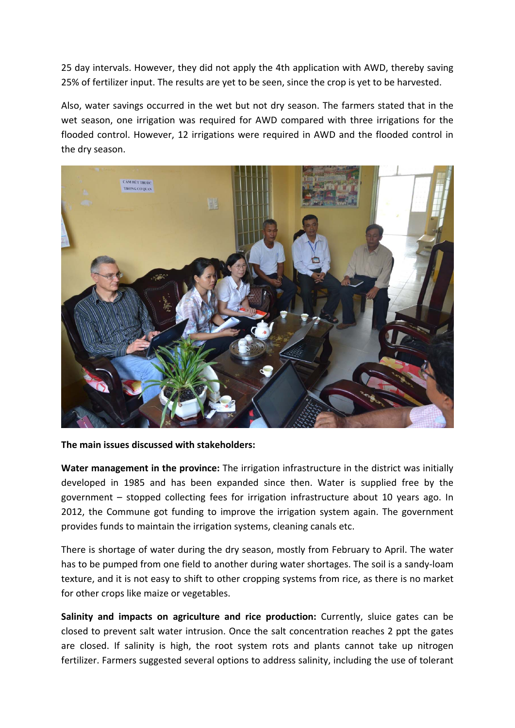25 day intervals. However, they did not apply the 4th application with AWD, thereby saving 25% of fertilizer input. The results are yet to be seen, since the crop is yet to be harvested.

Also, water savings occurred in the wet but not dry season. The farmers stated that in the wet season, one irrigation was required for AWD compared with three irrigations for the flooded control. However, 12 irrigations were required in AWD and the flooded control in the dry season.



## **The main issues discussed with stakeholders:**

**Water management in the province:** The irrigation infrastructure in the district was initially developed in 1985 and has been expanded since then. Water is supplied free by the government – stopped collecting fees for irrigation infrastructure about 10 years ago. In 2012, the Commune got funding to improve the irrigation system again. The government provides funds to maintain the irrigation systems, cleaning canals etc.

There is shortage of water during the dry season, mostly from February to April. The water has to be pumped from one field to another during water shortages. The soil is a sandy‐loam texture, and it is not easy to shift to other cropping systems from rice, as there is no market for other crops like maize or vegetables.

**Salinity and impacts on agriculture and rice production:** Currently, sluice gates can be closed to prevent salt water intrusion. Once the salt concentration reaches 2 ppt the gates are closed. If salinity is high, the root system rots and plants cannot take up nitrogen fertilizer. Farmers suggested several options to address salinity, including the use of tolerant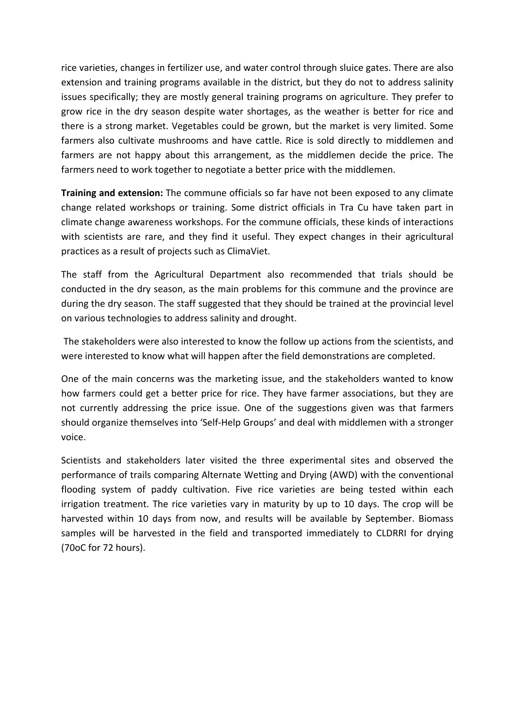rice varieties, changes in fertilizer use, and water control through sluice gates. There are also extension and training programs available in the district, but they do not to address salinity issues specifically; they are mostly general training programs on agriculture. They prefer to grow rice in the dry season despite water shortages, as the weather is better for rice and there is a strong market. Vegetables could be grown, but the market is very limited. Some farmers also cultivate mushrooms and have cattle. Rice is sold directly to middlemen and farmers are not happy about this arrangement, as the middlemen decide the price. The farmers need to work together to negotiate a better price with the middlemen.

**Training and extension:** The commune officials so far have not been exposed to any climate change related workshops or training. Some district officials in Tra Cu have taken part in climate change awareness workshops. For the commune officials, these kinds of interactions with scientists are rare, and they find it useful. They expect changes in their agricultural practices as a result of projects such as ClimaViet.

The staff from the Agricultural Department also recommended that trials should be conducted in the dry season, as the main problems for this commune and the province are during the dry season. The staff suggested that they should be trained at the provincial level on various technologies to address salinity and drought.

The stakeholders were also interested to know the follow up actions from the scientists, and were interested to know what will happen after the field demonstrations are completed.

One of the main concerns was the marketing issue, and the stakeholders wanted to know how farmers could get a better price for rice. They have farmer associations, but they are not currently addressing the price issue. One of the suggestions given was that farmers should organize themselves into 'Self‐Help Groups' and deal with middlemen with a stronger voice.

Scientists and stakeholders later visited the three experimental sites and observed the performance of trails comparing Alternate Wetting and Drying (AWD) with the conventional flooding system of paddy cultivation. Five rice varieties are being tested within each irrigation treatment. The rice varieties vary in maturity by up to 10 days. The crop will be harvested within 10 days from now, and results will be available by September. Biomass samples will be harvested in the field and transported immediately to CLDRRI for drying (70oC for 72 hours).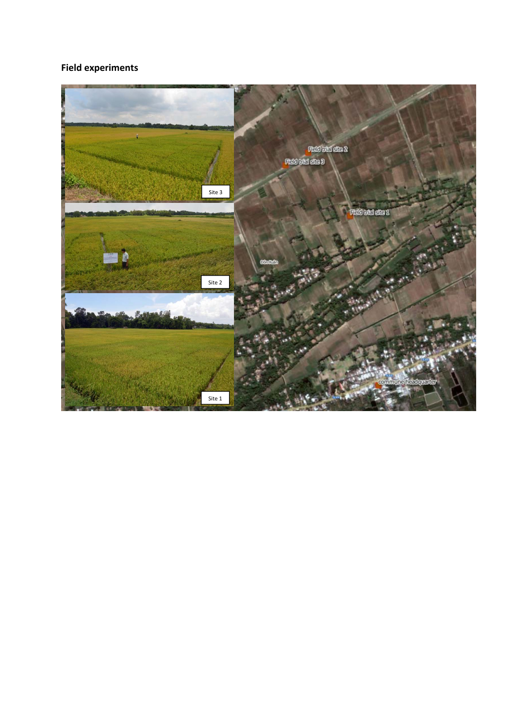## **Field experiments**